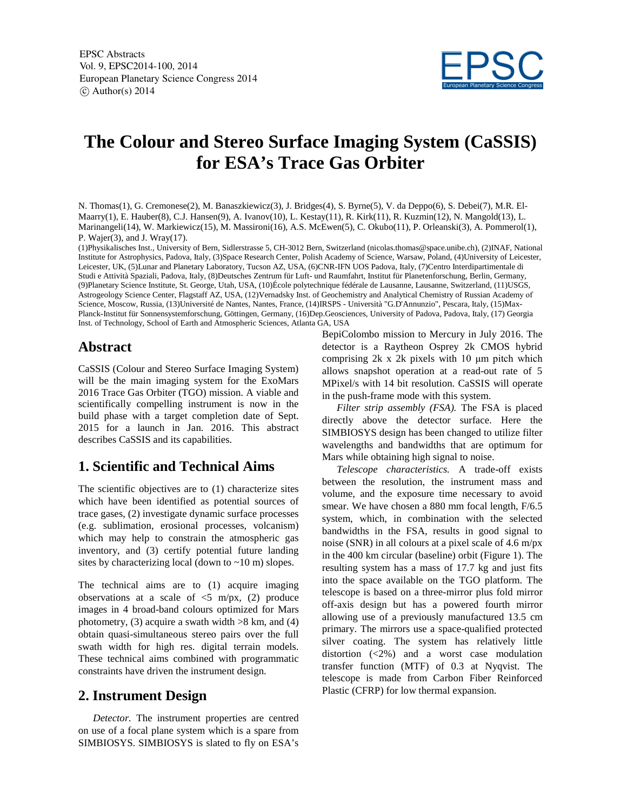

## **The Colour and Stereo Surface Imaging System (CaSSIS) for ESA's Trace Gas Orbiter**

N. Thomas(1), G. Cremonese(2), M. Banaszkiewicz(3), J. Bridges(4), S. Byrne(5), V. da Deppo(6), S. Debei(7), M.R. El-Maarry(1), E. Hauber(8), C.J. Hansen(9), A. Ivanov(10), L. Kestay(11), R. Kirk(11), R. Kuzmin(12), N. Mangold(13), L. Marinangeli(14), W. Markiewicz(15), M. Massironi(16), A.S. McEwen(5), C. Okubo(11), P. Orleanski(3), A. Pommerol(1), P. Wajer(3), and J. Wray(17).

(1)Physikalisches Inst., University of Bern, Sidlerstrasse 5, CH-3012 Bern, Switzerland (nicolas.thomas@space.unibe.ch), (2)INAF, National Institute for Astrophysics, Padova, Italy, (3)Space Research Center, Polish Academy of Science, Warsaw, Poland, (4)University of Leicester, Leicester, UK, (5)Lunar and Planetary Laboratory, Tucson AZ, USA, (6)CNR-IFN UOS Padova, Italy, (7)Centro Interdipartimentale di Studi e Attività Spaziali, Padova, Italy, (8)Deutsches Zentrum für Luft- und Raumfahrt, Institut für Planetenforschung, Berlin, Germany, (9)Planetary Science Institute, St. George, Utah, USA, (10)École polytechnique fédérale de Lausanne, Lausanne, Switzerland, (11)USGS, Astrogeology Science Center, Flagstaff AZ, USA, (12)Vernadsky Inst. of Geochemistry and Analytical Chemistry of Russian Academу of Science, Moscow, Russia, (13)Université de Nantes, Nantes, France, (14)IRSPS - Università "G.D'Annunzio", Pescara, Italy, (15)Max-Planck-Institut für Sonnensystemforschung, Göttingen, Germany, (16)Dep.Geosciences, University of Padova, Padova, Italy, (17) Georgia Inst. of Technology, School of Earth and Atmospheric Sciences, Atlanta GA, USA

## **Abstract**

CaSSIS (Colour and Stereo Surface Imaging System) will be the main imaging system for the ExoMars 2016 Trace Gas Orbiter (TGO) mission. A viable and scientifically compelling instrument is now in the build phase with a target completion date of Sept. 2015 for a launch in Jan. 2016. This abstract describes CaSSIS and its capabilities.

## **1. Scientific and Technical Aims**

The scientific objectives are to (1) characterize sites which have been identified as potential sources of trace gases, (2) investigate dynamic surface processes (e.g. sublimation, erosional processes, volcanism) which may help to constrain the atmospheric gas inventory, and (3) certify potential future landing sites by characterizing local (down to ~10 m) slopes.

The technical aims are to (1) acquire imaging observations at a scale of  $\leq 5$  m/px, (2) produce images in 4 broad-band colours optimized for Mars photometry, (3) acquire a swath width  $>8$  km, and (4) obtain quasi-simultaneous stereo pairs over the full swath width for high res. digital terrain models. These technical aims combined with programmatic constraints have driven the instrument design.

## **2. Instrument Design**

*Detector.* The instrument properties are centred on use of a focal plane system which is a spare from SIMBIOSYS. SIMBIOSYS is slated to fly on ESA's BepiColombo mission to Mercury in July 2016. The detector is a Raytheon Osprey 2k CMOS hybrid comprising 2k x 2k pixels with 10 μm pitch which allows snapshot operation at a read-out rate of 5 MPixel/s with 14 bit resolution. CaSSIS will operate in the push-frame mode with this system.

*Filter strip assembly (FSA).* The FSA is placed directly above the detector surface. Here the SIMBIOSYS design has been changed to utilize filter wavelengths and bandwidths that are optimum for Mars while obtaining high signal to noise.

*Telescope characteristics.* A trade-off exists between the resolution, the instrument mass and volume, and the exposure time necessary to avoid smear. We have chosen a 880 mm focal length, F/6.5 system, which, in combination with the selected bandwidths in the FSA, results in good signal to noise (SNR) in all colours at a pixel scale of 4.6 m/px in the 400 km circular (baseline) orbit (Figure 1). The resulting system has a mass of 17.7 kg and just fits into the space available on the TGO platform. The telescope is based on a three-mirror plus fold mirror off-axis design but has a powered fourth mirror allowing use of a previously manufactured 13.5 cm primary. The mirrors use a space-qualified protected silver coating. The system has relatively little distortion (<2%) and a worst case modulation transfer function (MTF) of 0.3 at Nyqvist. The telescope is made from Carbon Fiber Reinforced Plastic (CFRP) for low thermal expansion.